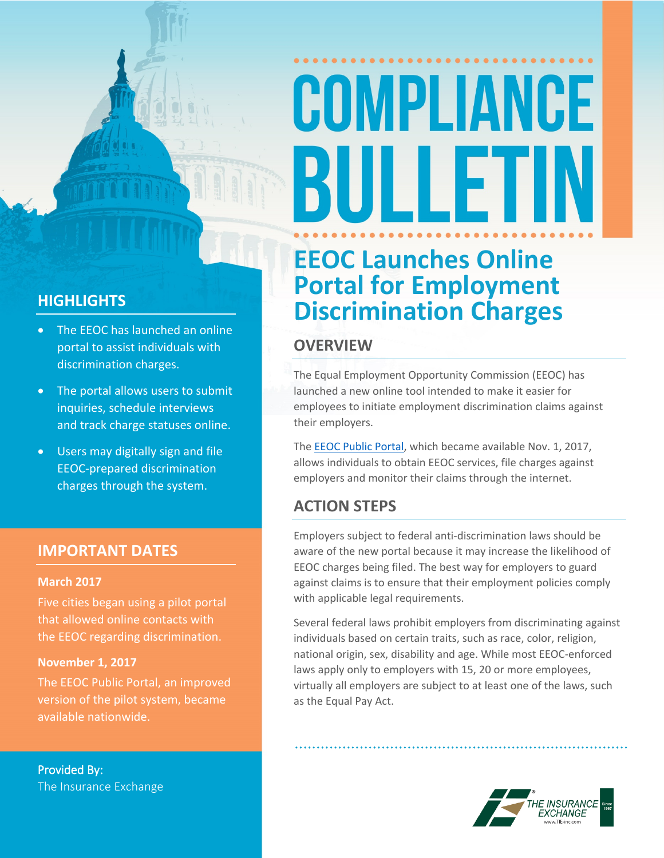# COMPLIANCE BULLET

### **HIGHLIGHTS**

- The EEOC has launched an online portal to assist individuals with discrimination charges.
- The portal allows users to submit inquiries, schedule interviews and track charge statuses online.
- Users may digitally sign and file EEOC-prepared discrimination charges through the system.

### **IMPORTANT DATES**

#### **March 2017**

Five cities began using a pilot portal that allowed online contacts with the EEOC regarding discrimination.

#### **November 1, 2017**

The EEOC Public Portal, an improved version of the pilot system, became available nationwide.

**Provided By:** The Insurance Exchange

### **EEOC Launches Online Portal for Employment Discrimination Charges**

### **OVERVIEW**

The Equal Employment Opportunity Commission (EEOC) has launched a new online tool intended to make it easier for employees to initiate employment discrimination claims against their employers.

The EEOC Public [Portal,](https://publicportal.eeoc.gov/portal/) which became available Nov. 1, 2017, allows individuals to obtain EEOC services, file charges against employers and monitor their claims through the internet.

### **ACTION STEPS**

Employers subject to federal anti-discrimination laws should be aware of the new portal because it may increase the likelihood of EEOC charges being filed. The best way for employers to guard against claims is to ensure that their employment policies comply with applicable legal requirements.

Several federal laws prohibit employers from discriminating against individuals based on certain traits, such as race, color, religion, national origin, sex, disability and age. While most EEOC-enforced laws apply only to employers with 15, 20 or more employees, virtually all employers are subject to at least one of the laws, such as the Equal Pay Act.

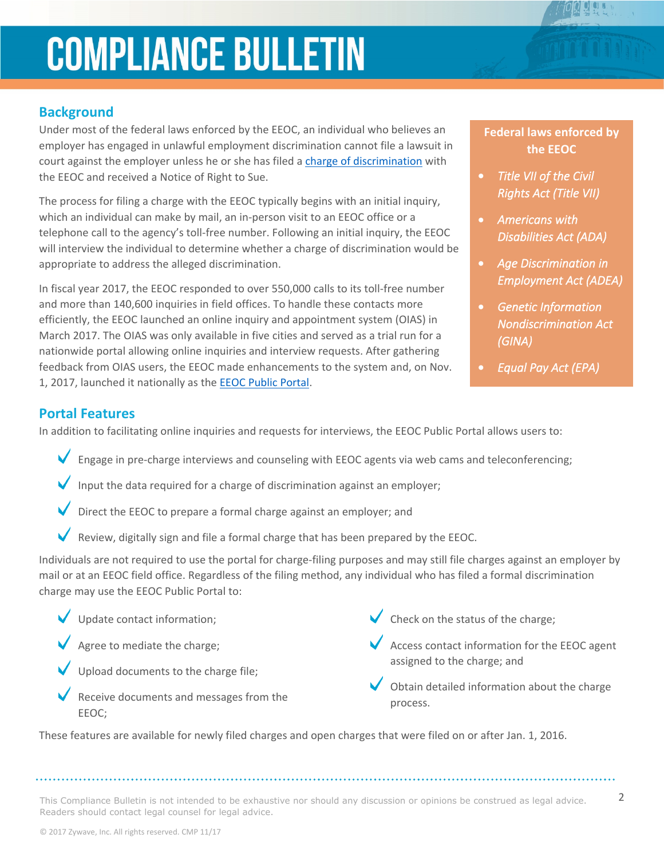### **COMPLIANCE BULLETIN**

### **Background**

Under most of the federal laws enforced by the EEOC, an individual who believes an employer has engaged in unlawful employment discrimination cannot file a lawsuit in court against the employer unless he or she has filed a charge of [discrimination](https://www.eeoc.gov/employees/charge.cfm) with the EEOC and received a Notice of Right to Sue.

The process for filing a charge with the EEOC typically begins with an initial inquiry, which an individual can make by mail, an in-person visit to an EEOC office or a telephone call to the agency's toll-free number. Following an initial inquiry, the EEOC will interview the individual to determine whether a charge of discrimination would be appropriate to address the alleged discrimination.

In fiscal year 2017, the EEOC responded to over 550,000 calls to its toll-free number and more than 140,600 inquiries in field offices. To handle these contacts more efficiently, the EEOC launched an online inquiry and appointment system (OIAS) in March 2017. The OIAS was only available in five cities and served as a trial run for a nationwide portal allowing online inquiries and interview requests. After gathering feedback from OIAS users, the EEOC made enhancements to the system and, on Nov. 1, 2017, launched it nationally as the EEOC [Public](https://publicportal.eeoc.gov/portal/) Portal.

### **Federal laws enforced by the EEOC**

- *Title VII of the Civil Rights Act (Title VII)*
- *Americans with Disabilities Act (ADA)*
- *Age Discrimination in Employment Act (ADEA)*
- *Genetic Information Nondiscrimination Act (GINA)*
- *Equal Pay Act (EPA)*

### **Portal Features**

In addition to facilitating online inquiries and requests for interviews, the EEOC Public Portal allows users to:

- Engage in pre-charge interviews and counseling with EEOC agents via web cams and teleconferencing;
- Input the data required for a charge of discrimination against an employer;
- Direct the EEOC to prepare a formal charge against an employer; and
- Review, digitally sign and file a formal charge that has been prepared by the EEOC.

Individuals are not required to use the portal for charge-filing purposes and may still file charges against an employer by mail or at an EEOC field office. Regardless of the filing method, any individual who has filed a formal discrimination charge may use the EEOC Public Portal to:

- Update contact information;
- Agree to mediate the charge;
- Upload documents to the charge file;
- Receive documents and messages from the EEOC;
- $\blacktriangleright$  Check on the status of the charge;
- Access contact information for the EEOC agent assigned to the charge; and
- Obtain detailed information about the charge process.

These features are available for newly filed charges and open charges that were filed on or after Jan. 1, 2016.

This Compliance Bulletin is not intended to be exhaustive nor should any discussion or opinions be construed as legal advice.  $2$ Readers should contact legal counsel for legal advice.